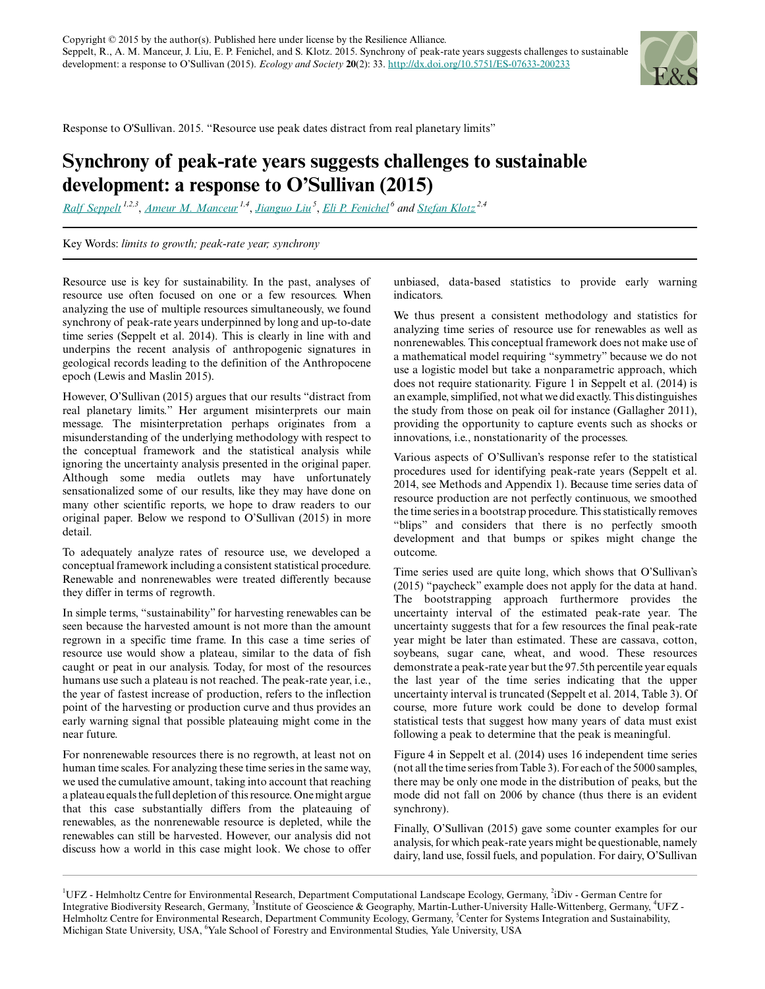

Response to O'Sullivan. 2015. "Resource use peak dates distract from real planetary limits"

## **Synchrony of peak-rate years suggests challenges to sustainable development: a response to O'Sullivan (2015)**

*[Ralf Seppelt](mailto:ralf.seppelt@ufz.de) 1,2,3* , *[Ameur M. Manceur](mailto:ameur.manceur@ufz.de) 1,4* , *[Jianguo Liu](mailto:liuji@msu.edu)<sup>5</sup>* , *[Eli P. Fenichel](mailto:eli.fenichel@yale.edu)<sup>6</sup> and [Stefan Klotz](mailto:Stefan.Klotz@ufz.de) 2,4*

Key Words: *limits to growth; peak-rate year; synchrony*

Resource use is key for sustainability. In the past, analyses of resource use often focused on one or a few resources. When analyzing the use of multiple resources simultaneously, we found synchrony of peak-rate years underpinned by long and up-to-date time series (Seppelt et al. 2014). This is clearly in line with and underpins the recent analysis of anthropogenic signatures in geological records leading to the definition of the Anthropocene epoch (Lewis and Maslin 2015).

However, O'Sullivan (2015) argues that our results "distract from real planetary limits." Her argument misinterprets our main message. The misinterpretation perhaps originates from a misunderstanding of the underlying methodology with respect to the conceptual framework and the statistical analysis while ignoring the uncertainty analysis presented in the original paper. Although some media outlets may have unfortunately sensationalized some of our results, like they may have done on many other scientific reports, we hope to draw readers to our original paper. Below we respond to O'Sullivan (2015) in more detail.

To adequately analyze rates of resource use, we developed a conceptual framework including a consistent statistical procedure. Renewable and nonrenewables were treated differently because they differ in terms of regrowth.

In simple terms, "sustainability" for harvesting renewables can be seen because the harvested amount is not more than the amount regrown in a specific time frame. In this case a time series of resource use would show a plateau, similar to the data of fish caught or peat in our analysis. Today, for most of the resources humans use such a plateau is not reached. The peak-rate year, i.e., the year of fastest increase of production, refers to the inflection point of the harvesting or production curve and thus provides an early warning signal that possible plateauing might come in the near future.

For nonrenewable resources there is no regrowth, at least not on human time scales. For analyzing these time series in the same way, we used the cumulative amount, taking into account that reaching a plateau equals the full depletion of this resource. One might argue that this case substantially differs from the plateauing of renewables, as the nonrenewable resource is depleted, while the renewables can still be harvested. However, our analysis did not discuss how a world in this case might look. We chose to offer

unbiased, data-based statistics to provide early warning indicators.

We thus present a consistent methodology and statistics for analyzing time series of resource use for renewables as well as nonrenewables. This conceptual framework does not make use of a mathematical model requiring "symmetry" because we do not use a logistic model but take a nonparametric approach, which does not require stationarity. Figure 1 in Seppelt et al. (2014) is an example, simplified, not what we did exactly. This distinguishes the study from those on peak oil for instance (Gallagher 2011), providing the opportunity to capture events such as shocks or innovations, i.e., nonstationarity of the processes.

Various aspects of O'Sullivan's response refer to the statistical procedures used for identifying peak-rate years (Seppelt et al. 2014, see Methods and Appendix 1). Because time series data of resource production are not perfectly continuous, we smoothed the time series in a bootstrap procedure. This statistically removes "blips" and considers that there is no perfectly smooth development and that bumps or spikes might change the outcome.

Time series used are quite long, which shows that O'Sullivan's (2015) "paycheck" example does not apply for the data at hand. The bootstrapping approach furthermore provides the uncertainty interval of the estimated peak-rate year. The uncertainty suggests that for a few resources the final peak-rate year might be later than estimated. These are cassava, cotton, soybeans, sugar cane, wheat, and wood. These resources demonstrate a peak-rate year but the 97.5th percentile year equals the last year of the time series indicating that the upper uncertainty interval is truncated (Seppelt et al. 2014, Table 3). Of course, more future work could be done to develop formal statistical tests that suggest how many years of data must exist following a peak to determine that the peak is meaningful.

Figure 4 in Seppelt et al. (2014) uses 16 independent time series (not all the time series from Table 3). For each of the 5000 samples, there may be only one mode in the distribution of peaks, but the mode did not fall on 2006 by chance (thus there is an evident synchrony).

Finally, O'Sullivan (2015) gave some counter examples for our analysis, for which peak-rate years might be questionable, namely dairy, land use, fossil fuels, and population. For dairy, O'Sullivan

<sup>1</sup>UFZ - Helmholtz Centre for Environmental Research, Department Computational Landscape Ecology, Germany, <sup>2</sup>iDiv - German Centre for Integrative Biodiversity Research, Germany, <sup>3</sup>Institute of Geoscience & Geography, Martin-Luther-University Halle-Wittenberg, Germany, <sup>4</sup>UFZ -Helmholtz Centre for Environmental Research, Department Community Ecology, Germany, <sup>5</sup>Center for Systems Integration and Sustainability, Michigan State University, USA, <sup>6</sup>Yale School of Forestry and Environmental Studies, Yale University, USA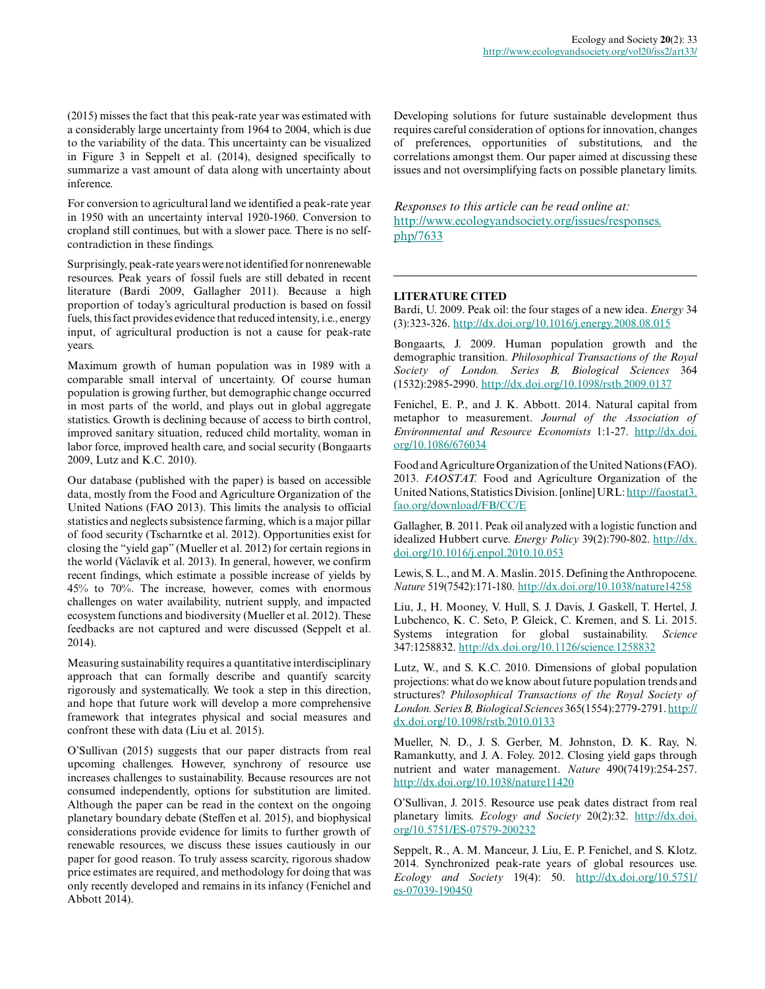(2015) misses the fact that this peak-rate year was estimated with a considerably large uncertainty from 1964 to 2004, which is due to the variability of the data. This uncertainty can be visualized in Figure 3 in Seppelt et al. (2014), designed specifically to summarize a vast amount of data along with uncertainty about inference.

For conversion to agricultural land we identified a peak-rate year in 1950 with an uncertainty interval 1920-1960. Conversion to cropland still continues, but with a slower pace. There is no selfcontradiction in these findings.

Surprisingly, peak-rate years were not identified for nonrenewable resources. Peak years of fossil fuels are still debated in recent literature (Bardi 2009, Gallagher 2011). Because a high proportion of today's agricultural production is based on fossil fuels, this fact provides evidence that reduced intensity, i.e., energy input, of agricultural production is not a cause for peak-rate years.

Maximum growth of human population was in 1989 with a comparable small interval of uncertainty. Of course human population is growing further, but demographic change occurred in most parts of the world, and plays out in global aggregate statistics. Growth is declining because of access to birth control, improved sanitary situation, reduced child mortality, woman in labor force, improved health care, and social security (Bongaarts 2009, Lutz and K.C. 2010).

Our database (published with the paper) is based on accessible data, mostly from the Food and Agriculture Organization of the United Nations (FAO 2013). This limits the analysis to official statistics and neglects subsistence farming, which is a major pillar of food security (Tscharntke et al. 2012). Opportunities exist for closing the "yield gap" (Mueller et al. 2012) for certain regions in the world (Václavík et al. 2013). In general, however, we confirm recent findings, which estimate a possible increase of yields by 45% to 70%. The increase, however, comes with enormous challenges on water availability, nutrient supply, and impacted ecosystem functions and biodiversity (Mueller et al. 2012). These feedbacks are not captured and were discussed (Seppelt et al. 2014).

Measuring sustainability requires a quantitative interdisciplinary approach that can formally describe and quantify scarcity rigorously and systematically. We took a step in this direction, and hope that future work will develop a more comprehensive framework that integrates physical and social measures and confront these with data (Liu et al. 2015).

O'Sullivan (2015) suggests that our paper distracts from real upcoming challenges. However, synchrony of resource use increases challenges to sustainability. Because resources are not consumed independently, options for substitution are limited. Although the paper can be read in the context on the ongoing planetary boundary debate (Steffen et al. 2015), and biophysical considerations provide evidence for limits to further growth of renewable resources, we discuss these issues cautiously in our paper for good reason. To truly assess scarcity, rigorous shadow price estimates are required, and methodology for doing that was only recently developed and remains in its infancy (Fenichel and Abbott 2014).

Developing solutions for future sustainable development thus requires careful consideration of options for innovation, changes of preferences, opportunities of substitutions, and the correlations amongst them. Our paper aimed at discussing these issues and not oversimplifying facts on possible planetary limits.

*Responses to this article can be read online at:* [http://www.ecologyandsociety.org/issues/responses.](http://www.ecologyandsociety.org/issues/responses.php/7633) [php/7633](http://www.ecologyandsociety.org/issues/responses.php/7633)

## **LITERATURE CITED**

Bardi, U. 2009. Peak oil: the four stages of a new idea. *Energy* 34 (3):323-326. [http://dx.doi.org/10.1016/j.energy.2008.08.015](http://dx.doi.org/10.1016%2Fj.energy.2008.08.015) 

Bongaarts, J. 2009. Human population growth and the demographic transition. *Philosophical Transactions of the Royal Society of London. Series B, Biological Sciences* 364 (1532):2985-2990. [http://dx.doi.org/10.1098/rstb.2009.0137](http://dx.doi.org/10.1098%2Frstb.2009.0137) 

Fenichel, E. P., and J. K. Abbott. 2014. Natural capital from metaphor to measurement. *Journal of the Association of Environmental and Resource Economists* 1:1-27. [http://dx.doi.](http://dx.doi.org/10.1086%2F676034) [org/10.1086/676034](http://dx.doi.org/10.1086%2F676034)

Food and Agriculture Organization of the United Nations (FAO). 2013. *FAOSTAT.* Food and Agriculture Organization of the United Nations, Statistics Division. [online] URL: [http://faostat3.](http://faostat3.fao.org/download/FB/CC/E) [fao.org/download/FB/CC/E](http://faostat3.fao.org/download/FB/CC/E)

Gallagher, B. 2011. Peak oil analyzed with a logistic function and idealized Hubbert curve. *Energy Policy* 39(2):790-802. [http://dx.](http://dx.doi.org/10.1016%2Fj.enpol.2010.10.053) [doi.org/10.1016/j.enpol.2010.10.053](http://dx.doi.org/10.1016%2Fj.enpol.2010.10.053) 

Lewis, S. L., and M. A. Maslin. 2015. Defining the Anthropocene. *Nature* 519(7542):171-180. [http://dx.doi.org/10.1038/nature14258](http://dx.doi.org/10.1038%2Fnature14258) 

Liu, J., H. Mooney, V. Hull, S. J. Davis, J. Gaskell, T. Hertel, J. Lubchenco, K. C. Seto, P. Gleick, C. Kremen, and S. Li. 2015. Systems integration for global sustainability. *Science* 347:1258832. [http://dx.doi.org/10.1126/science.1258832](http://dx.doi.org/10.1126%2Fscience.1258832) 

Lutz, W., and S. K.C. 2010. Dimensions of global population projections: what do we know about future population trends and structures? *Philosophical Transactions of the Royal Society of London. Series B, Biological Sciences* 365(1554):2779-2791. [http://](http://dx.doi.org/10.1098%2Frstb.2010.0133) [dx.doi.org/10.1098/rstb.2010.0133](http://dx.doi.org/10.1098%2Frstb.2010.0133)

Mueller, N. D., J. S. Gerber, M. Johnston, D. K. Ray, N. Ramankutty, and J. A. Foley. 2012. Closing yield gaps through nutrient and water management. *Nature* 490(7419):254-257. [http://dx.doi.org/10.1038/nature11420](http://dx.doi.org/10.1038%2Fnature11420)

O'Sullivan, J. 2015. Resource use peak dates distract from real planetary limits. *Ecology and Society* 20(2):32. [http://dx.doi.](http://dx.doi.org/10.5751/ES-07579-200232 ) [org/10.5751/ES-07579-200232](http://dx.doi.org/10.5751/ES-07579-200232 ) 

Seppelt, R., A. M. Manceur, J. Liu, E. P. Fenichel, and S. Klotz. 2014. Synchronized peak-rate years of global resources use. *Ecology and Society* 19(4): 50. [http://dx.doi.org/10.5751/](http://dx.doi.org/10.5751%2Fes-07039-190450) [es-07039-190450](http://dx.doi.org/10.5751%2Fes-07039-190450)